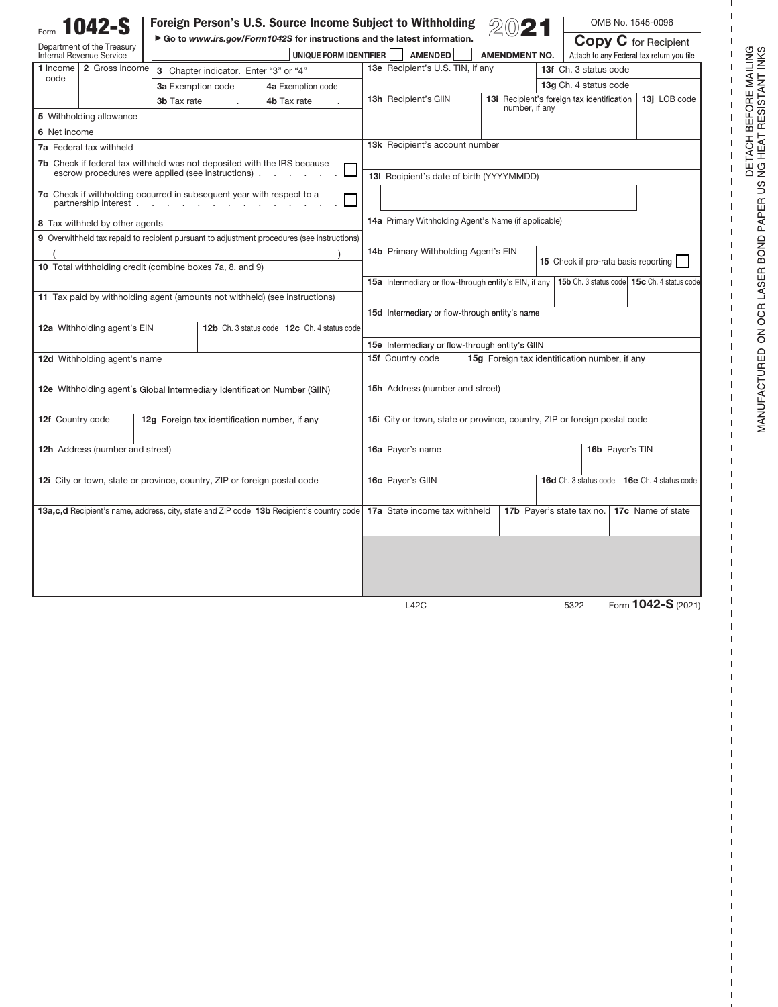| <b>042-S</b>                                                                                                           |                                                                            | Foreign Person's U.S. Source Income Subject to Withholding               |  |  |                                                                                             |  |                                                       |  |                                                                          |  | OMB No. 1545-0096                         |  |                                             |
|------------------------------------------------------------------------------------------------------------------------|----------------------------------------------------------------------------|--------------------------------------------------------------------------|--|--|---------------------------------------------------------------------------------------------|--|-------------------------------------------------------|--|--------------------------------------------------------------------------|--|-------------------------------------------|--|---------------------------------------------|
| Department of the Treasury                                                                                             |                                                                            | Go to www.irs.gov/Form1042S for instructions and the latest information. |  |  |                                                                                             |  | <b>AMENDMENT NO.</b>                                  |  |                                                                          |  | <b>Copy C</b> for Recipient               |  |                                             |
| Internal Revenue Service<br>2 Gross income                                                                             |                                                                            | UNIQUE FORM IDENTIFIER                                                   |  |  |                                                                                             |  | <b>AMENDED</b><br>13e Recipient's U.S. TIN, if any    |  |                                                                          |  | Attach to any Federal tax return you file |  |                                             |
| 1 Income l<br>code                                                                                                     |                                                                            | 3 Chapter indicator. Enter "3" or "4"                                    |  |  |                                                                                             |  |                                                       |  |                                                                          |  | 13f Ch. 3 status code                     |  |                                             |
|                                                                                                                        |                                                                            | 3a Exemption code                                                        |  |  | 4a Exemption code                                                                           |  |                                                       |  | <b>13i</b> Recipient's foreign tax identification                        |  | 13g Ch. 4 status code                     |  |                                             |
|                                                                                                                        |                                                                            | 3b Tax rate                                                              |  |  | 4b Tax rate                                                                                 |  | 13h Recipient's GIIN                                  |  | number, if any                                                           |  |                                           |  | 13j LOB code                                |
| 5 Withholding allowance                                                                                                |                                                                            |                                                                          |  |  |                                                                                             |  |                                                       |  |                                                                          |  |                                           |  |                                             |
| 6 Net income                                                                                                           |                                                                            |                                                                          |  |  |                                                                                             |  |                                                       |  |                                                                          |  |                                           |  |                                             |
| 7a Federal tax withheld                                                                                                |                                                                            |                                                                          |  |  |                                                                                             |  | 13k Recipient's account number                        |  |                                                                          |  |                                           |  |                                             |
| 7b Check if federal tax withheld was not deposited with the IRS because                                                |                                                                            |                                                                          |  |  |                                                                                             |  |                                                       |  |                                                                          |  |                                           |  |                                             |
| escrow procedures were applied (see instructions).                                                                     |                                                                            |                                                                          |  |  |                                                                                             |  | 13I Recipient's date of birth (YYYYMMDD)              |  |                                                                          |  |                                           |  |                                             |
| 7c Check if withholding occurred in subsequent year with respect to a<br>partnership interest                          |                                                                            |                                                                          |  |  |                                                                                             |  |                                                       |  |                                                                          |  |                                           |  |                                             |
|                                                                                                                        | 8 Tax withheld by other agents                                             |                                                                          |  |  |                                                                                             |  | 14a Primary Withholding Agent's Name (if applicable)  |  |                                                                          |  |                                           |  |                                             |
|                                                                                                                        |                                                                            |                                                                          |  |  | 9 Overwithheld tax repaid to recipient pursuant to adjustment procedures (see instructions) |  |                                                       |  |                                                                          |  |                                           |  |                                             |
|                                                                                                                        |                                                                            |                                                                          |  |  |                                                                                             |  | 14b Primary Withholding Agent's EIN                   |  |                                                                          |  |                                           |  |                                             |
|                                                                                                                        | 10 Total withholding credit (combine boxes 7a, 8, and 9)                   |                                                                          |  |  |                                                                                             |  |                                                       |  |                                                                          |  | 15 Check if pro-rata basis reporting      |  |                                             |
|                                                                                                                        |                                                                            |                                                                          |  |  |                                                                                             |  | 15a Intermediary or flow-through entity's EIN, if any |  |                                                                          |  |                                           |  | 15b Ch. 3 status code 15c Ch. 4 status code |
|                                                                                                                        | 11 Tax paid by withholding agent (amounts not withheld) (see instructions) |                                                                          |  |  |                                                                                             |  |                                                       |  |                                                                          |  |                                           |  |                                             |
|                                                                                                                        |                                                                            |                                                                          |  |  |                                                                                             |  | 15d Intermediary or flow-through entity's name        |  |                                                                          |  |                                           |  |                                             |
| 12a Withholding agent's EIN<br>12c Ch. 4 status code<br>12b Ch. 3 status code                                          |                                                                            |                                                                          |  |  |                                                                                             |  |                                                       |  |                                                                          |  |                                           |  |                                             |
|                                                                                                                        |                                                                            |                                                                          |  |  |                                                                                             |  |                                                       |  |                                                                          |  |                                           |  |                                             |
|                                                                                                                        |                                                                            |                                                                          |  |  |                                                                                             |  | 15e Intermediary or flow-through entity's GIIN        |  |                                                                          |  |                                           |  |                                             |
|                                                                                                                        | 12d Withholding agent's name                                               |                                                                          |  |  |                                                                                             |  | 15f Country code                                      |  | 15g Foreign tax identification number, if any                            |  |                                           |  |                                             |
|                                                                                                                        |                                                                            |                                                                          |  |  |                                                                                             |  |                                                       |  |                                                                          |  |                                           |  |                                             |
| 12e Withholding agent's Global Intermediary Identification Number (GIIN)                                               |                                                                            |                                                                          |  |  |                                                                                             |  | <b>15h</b> Address (number and street)                |  |                                                                          |  |                                           |  |                                             |
|                                                                                                                        |                                                                            |                                                                          |  |  |                                                                                             |  |                                                       |  |                                                                          |  |                                           |  |                                             |
| 12f Country code                                                                                                       |                                                                            | 12g Foreign tax identification number, if any                            |  |  |                                                                                             |  |                                                       |  | 15i City or town, state or province, country, ZIP or foreign postal code |  |                                           |  |                                             |
|                                                                                                                        |                                                                            |                                                                          |  |  |                                                                                             |  |                                                       |  |                                                                          |  |                                           |  |                                             |
|                                                                                                                        | 12h Address (number and street)                                            |                                                                          |  |  |                                                                                             |  | 16a Payer's name<br>16b Payer's TIN                   |  |                                                                          |  |                                           |  |                                             |
|                                                                                                                        |                                                                            |                                                                          |  |  |                                                                                             |  |                                                       |  |                                                                          |  |                                           |  |                                             |
| 12i City or town, state or province, country, ZIP or foreign postal code                                               |                                                                            |                                                                          |  |  |                                                                                             |  | 16c Payer's GIIN                                      |  |                                                                          |  | 16d Ch. 3 status code                     |  | 16e Ch. 4 status code                       |
|                                                                                                                        |                                                                            |                                                                          |  |  |                                                                                             |  |                                                       |  |                                                                          |  |                                           |  |                                             |
| 13a,c,d Recipient's name, address, city, state and ZIP code 13b Recipient's country code 17a State income tax withheld |                                                                            |                                                                          |  |  |                                                                                             |  |                                                       |  |                                                                          |  | 17b Payer's state tax no.                 |  | 17c Name of state                           |
|                                                                                                                        |                                                                            |                                                                          |  |  |                                                                                             |  |                                                       |  |                                                                          |  |                                           |  |                                             |
|                                                                                                                        |                                                                            |                                                                          |  |  |                                                                                             |  |                                                       |  |                                                                          |  |                                           |  |                                             |
|                                                                                                                        |                                                                            |                                                                          |  |  |                                                                                             |  |                                                       |  |                                                                          |  |                                           |  |                                             |
|                                                                                                                        |                                                                            |                                                                          |  |  |                                                                                             |  |                                                       |  |                                                                          |  |                                           |  |                                             |
|                                                                                                                        |                                                                            |                                                                          |  |  |                                                                                             |  |                                                       |  |                                                                          |  |                                           |  |                                             |
|                                                                                                                        |                                                                            |                                                                          |  |  |                                                                                             |  |                                                       |  |                                                                          |  |                                           |  | Form 1042-S (2021)                          |
|                                                                                                                        |                                                                            |                                                                          |  |  |                                                                                             |  | L42C                                                  |  |                                                                          |  | 5322                                      |  |                                             |

J.  $\mathbf I$  $\mathbf I$ 

 $\frac{1}{1}$   $\frac{1}{1}$   $\frac{1}{1}$   $\frac{1}{1}$ 

 $\frac{1}{1}$  $\bar{1}$  $\mathbf I$  $\mathbf I$  $\mathbf I$  $\mathsf I$  $\mathbf I$  $\mathbf I$  $\mathbf I$  $\mathbf I$  $\mathbf I$  $\mathbf I$  $\mathbf{I}$  $\mathbf I$  $\mathbf I$  $\mathbf I$  $\mathbf I$  $\mathbf I$  $\mathbf I$  $\mathbf I$  $\mathbf I$  $\mathbf I$  $\mathbf I$  $\mathsf I$  $\mathbf I$  $\mathsf I$  $\mathsf I$  $\mathbf I$  $\overline{1}$ I  $\mathbf{I}$ I. I  $\overline{1}$ J. J.  $\overline{1}$ I  $\mathbf{I}$  $\mathsf I$  $\mathsf I$  $\mathsf I$  $\mathbf{I}$ Ï I  $\overline{1}$ 

 $\mathbf{I}$ **I** I.  $\overline{1}$ I I ı 1 I  $\mathbf{I}$ I. I.  $\overline{1}$ I I ı ı  $\mathbf{I}$  $\sf I$  $\mathbf I$  $\mathbf I$